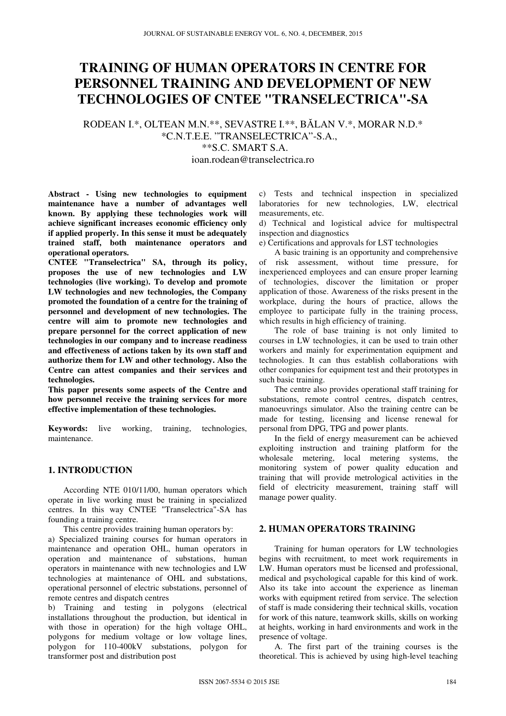# **TRAINING OF HUMAN OPERATORS IN CENTRE FOR PERSONNEL TRAINING AND DEVELOPMENT OF NEW TECHNOLOGIES OF CNTEE "TRANSELECTRICA"-SA**

RODEAN I.\*, OLTEAN M.N.\*\*, SEVASTRE I.\*\*, BĂLAN V.\*, MORAR N.D.\* \*C.N.T.E.E. "TRANSELECTRICA"-S.A., \*\*S.C. SMART S.A. ioan.rodean@transelectrica.ro

**Abstract - Using new technologies to equipment maintenance have a number of advantages well known. By applying these technologies work will achieve significant increases economic efficiency only if applied properly. In this sense it must be adequately trained staff, both maintenance operators and operational operators.** 

**CNTEE "Transelectrica" SA, through its policy, proposes the use of new technologies and LW technologies (live working). To develop and promote LW technologies and new technologies, the Company promoted the foundation of a centre for the training of personnel and development of new technologies. The centre will aim to promote new technologies and prepare personnel for the correct application of new technologies in our company and to increase readiness and effectiveness of actions taken by its own staff and authorize them for LW and other technology. Also the Centre can attest companies and their services and technologies.** 

**This paper presents some aspects of the Centre and how personnel receive the training services for more effective implementation of these technologies.** 

**Keywords:** live working, training, technologies, maintenance.

## **1. INTRODUCTION**

According NTE 010/11/00, human operators which operate in live working must be training in specialized centres. In this way CNTEE "Transelectrica"-SA has founding a training centre.

This centre provides training human operators by:

a) Specialized training courses for human operators in maintenance and operation OHL, human operators in operation and maintenance of substations, human operators in maintenance with new technologies and LW technologies at maintenance of OHL and substations, operational personnel of electric substations, personnel of remote centres and dispatch centres

b) Training and testing in polygons (electrical installations throughout the production, but identical in with those in operation) for the high voltage OHL, polygons for medium voltage or low voltage lines, polygon for 110-400kV substations, polygon for transformer post and distribution post

c) Tests and technical inspection in specialized laboratories for new technologies, LW, electrical measurements, etc.

d) Technical and logistical advice for multispectral inspection and diagnostics

e) Certifications and approvals for LST technologies

A basic training is an opportunity and comprehensive of risk assessment, without time pressure, for inexperienced employees and can ensure proper learning of technologies, discover the limitation or proper application of those. Awareness of the risks present in the workplace, during the hours of practice, allows the employee to participate fully in the training process, which results in high efficiency of training.

The role of base training is not only limited to courses in LW technologies, it can be used to train other workers and mainly for experimentation equipment and technologies. It can thus establish collaborations with other companies for equipment test and their prototypes in such basic training.

The centre also provides operational staff training for substations, remote control centres, dispatch centres, manoeuvrings simulator. Also the training centre can be made for testing, licensing and license renewal for personal from DPG, TPG and power plants.

In the field of energy measurement can be achieved exploiting instruction and training platform for the wholesale metering, local metering systems, the monitoring system of power quality education and training that will provide metrological activities in the field of electricity measurement, training staff will manage power quality.

## **2. HUMAN OPERATORS TRAINING**

Training for human operators for LW technologies begins with recruitment, to meet work requirements in LW. Human operators must be licensed and professional, medical and psychological capable for this kind of work. Also its take into account the experience as lineman works with equipment retired from service. The selection of staff is made considering their technical skills, vocation for work of this nature, teamwork skills, skills on working at heights, working in hard environments and work in the presence of voltage.

A. The first part of the training courses is the theoretical. This is achieved by using high-level teaching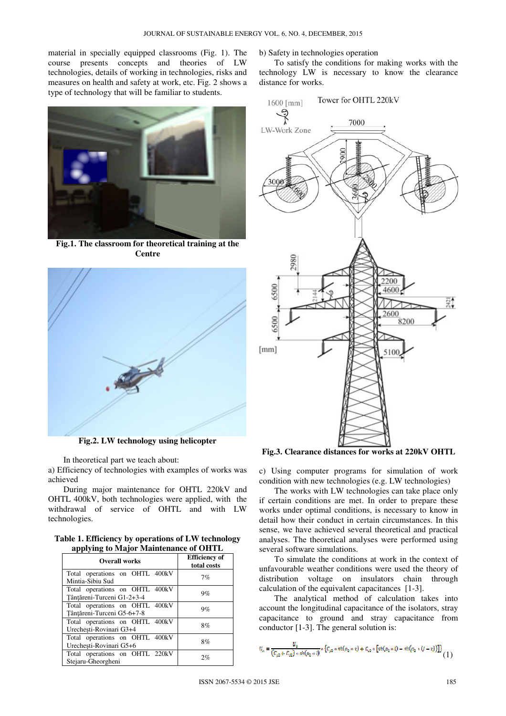material in specially equipped classrooms (Fig. 1). The course presents concepts and theories of LW technologies, details of working in technologies, risks and measures on health and safety at work, etc. Fig. 2 shows a type of technology that will be familiar to students.



**Fig.1. The classroom for theoretical training at the Centre** 



**Fig.2. LW technology using helicopter** 

In theoretical part we teach about:

a) Efficiency of technologies with examples of works was achieved

During major maintenance for OHTL 220kV and OHTL 400kV, both technologies were applied, with the withdrawal of service of OHTL and with LW technologies.

**Table 1. Efficiency by operations of LW technology applying to Major Maintenance of OHTL** 

| ு ப<br>Overall works                                         | <b>Efficiency of</b><br>total costs |
|--------------------------------------------------------------|-------------------------------------|
| Total operations on OHTL 400kV<br>Mintia-Sibiu Sud           | 7%                                  |
| Total operations on OHTL 400kV<br>Tânțăreni-Turceni G1-2+3-4 | 9%                                  |
| Total operations on OHTL 400kV<br>Tânțăreni-Turceni G5-6+7-8 | 9%                                  |
| Total operations on OHTL 400kV<br>Urechești-Rovinari G3+4    | 8%                                  |
| Total operations on OHTL 400kV<br>Urechești-Rovinari G5+6    | 8%                                  |
| Total operations on OHTL 220kV<br>Stejaru-Gheorgheni         | 2%                                  |

b) Safety in technologies operation

To satisfy the conditions for making works with the technology LW is necessary to know the clearance distance for works.



**Fig.3. Clearance distances for works at 220kV OHTL** 

c) Using computer programs for simulation of work condition with new technologies (e.g. LW technologies)

The works with LW technologies can take place only if certain conditions are met. In order to prepare these works under optimal conditions, is necessary to know in detail how their conduct in certain circumstances. In this sense, we have achieved several theoretical and practical analyses. The theoretical analyses were performed using several software simulations.

To simulate the conditions at work in the context of unfavourable weather conditions were used the theory of distribution voltage on insulators chain through calculation of the equivalent capacitances [1-3].

The analytical method of calculation takes into account the longitudinal capacitance of the isolators, stray capacitance to ground and stray capacitance from conductor [1-3]. The general solution is:

$$
U_{\alpha} = \frac{U_0}{(C_{\gamma 0} + C_{\gamma 0}) \cdot \text{sh}(a_0 \cdot t)} \cdot \left\{ C_{\gamma 0} \cdot \text{sh}(a_0 \cdot x) + C_{\gamma 0} \cdot \left[ \text{sh}(a_0 \cdot t) - \text{sh}(a_0 \cdot (t - v)) \right] \right\}
$$
(1)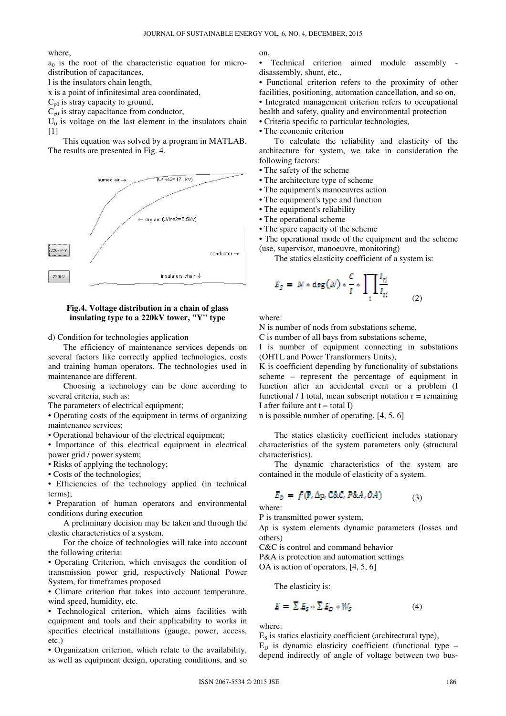where,

 $a_0$  is the root of the characteristic equation for microdistribution of capacitances,

l is the insulators chain length,

x is a point of infinitesimal area coordinated,

 $C_{p0}$  is stray capacity to ground,

 $C_{c0}$  is stray capacitance from conductor,

 $U_0$  is voltage on the last element in the insulators chain  $[1]$ 

This equation was solved by a program in MATLAB. The results are presented in Fig. 4.



#### **Fig.4. Voltage distribution in a chain of glass insulating type to a 220kV tower, "Y" type**

d) Condition for technologies application

The efficiency of maintenance services depends on several factors like correctly applied technologies, costs and training human operators. The technologies used in maintenance are different.

Choosing a technology can be done according to several criteria, such as:

The parameters of electrical equipment;

• Operating costs of the equipment in terms of organizing maintenance services;

• Operational behaviour of the electrical equipment;

• Importance of this electrical equipment in electrical power grid / power system;

• Risks of applying the technology;

• Costs of the technologies;

• Efficiencies of the technology applied (in technical terms);

• Preparation of human operators and environmental conditions during execution

A preliminary decision may be taken and through the elastic characteristics of a system.

For the choice of technologies will take into account the following criteria:

• Operating Criterion, which envisages the condition of transmission power grid, respectively National Power System, for timeframes proposed

• Climate criterion that takes into account temperature, wind speed, humidity, etc.

• Technological criterion, which aims facilities with equipment and tools and their applicability to works in specifics electrical installations (gauge, power, access, etc.)

• Organization criterion, which relate to the availability, as well as equipment design, operating conditions, and so on,

• Technical criterion aimed module assembly disassembly, shunt, etc.,

• Functional criterion refers to the proximity of other facilities, positioning, automation cancellation, and so on, • Integrated management criterion refers to occupational health and safety, quality and environmental protection

• Criteria specific to particular technologies,

• The economic criterion

To calculate the reliability and elasticity of the architecture for system, we take in consideration the following factors:

- The safety of the scheme
- The architecture type of scheme
- The equipment's manoeuvres action
- The equipment's type and function
- The equipment's reliability
- The operational scheme
- The spare capacity of the scheme

• The operational mode of the equipment and the scheme (use, supervisor, manoeuvre, monitoring)

The statics elasticity coefficient of a system is:

$$
E_S = N * \deg(N) * \frac{C}{I} * \prod_i \frac{I_{ri}}{I_{ii}} \tag{2}
$$

where:

N is number of nods from substations scheme,

C is number of all bays from substations scheme,

I is number of equipment connecting in substations (OHTL and Power Transformers Units),

K is coefficient depending by functionality of substations scheme – represent the percentage of equipment in function after an accidental event or a problem (I functional / I total, mean subscript notation  $r =$  remaining I after failure ant  $t = total I$ 

n is possible number of operating, [4, 5, 6]

The statics elasticity coefficient includes stationary characteristics of the system parameters only (structural characteristics).

The dynamic characteristics of the system are contained in the module of elasticity of a system.

$$
E_D = f(P, \Delta p, \text{CRC}, P\&A, OA) \tag{3}
$$

where:

P is transmitted power system,

∆p is system elements dynamic parameters (losses and others)

C&C is control and command behavior

P&A is protection and automation settings

OA is action of operators, [4, 5, 6]

The elasticity is:

$$
E = \sum E_s * \sum E_D * W_s \tag{4}
$$

where:

 $E<sub>S</sub>$  is statics elasticity coefficient (architectural type),  $E<sub>D</sub>$  is dynamic elasticity coefficient (functional type –

depend indirectly of angle of voltage between two bus-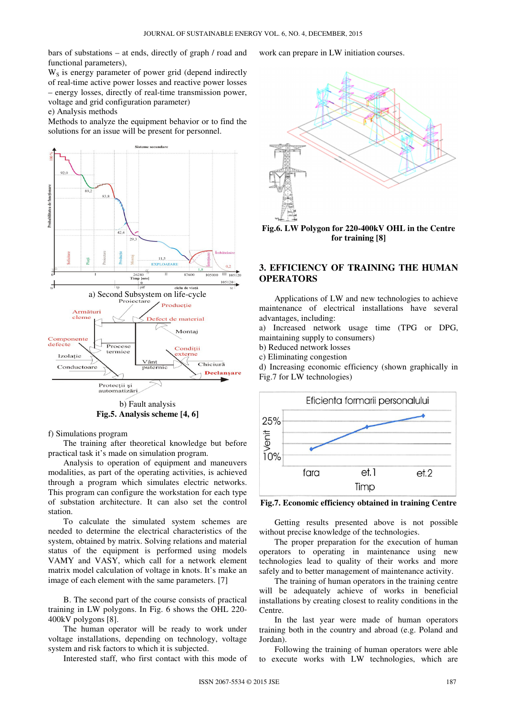bars of substations – at ends, directly of graph / road and functional parameters),

 $W<sub>S</sub>$  is energy parameter of power grid (depend indirectly of real-time active power losses and reactive power losses – energy losses, directly of real-time transmission power, voltage and grid configuration parameter)

e) Analysis methods

Methods to analyze the equipment behavior or to find the solutions for an issue will be present for personnel.



**Fig.5. Analysis scheme [4, 6]** 

f) Simulations program

The training after theoretical knowledge but before practical task it's made on simulation program.

Analysis to operation of equipment and maneuvers modalities, as part of the operating activities, is achieved through a program which simulates electric networks. This program can configure the workstation for each type of substation architecture. It can also set the control station.

To calculate the simulated system schemes are needed to determine the electrical characteristics of the system, obtained by matrix. Solving relations and material status of the equipment is performed using models VAMY and VASY, which call for a network element matrix model calculation of voltage in knots. It's make an image of each element with the same parameters. [7]

B. The second part of the course consists of practical training in LW polygons. In Fig. 6 shows the OHL 220- 400kV polygons [8].

The human operator will be ready to work under voltage installations, depending on technology, voltage system and risk factors to which it is subjected.

Interested staff, who first contact with this mode of

work can prepare in LW initiation courses.



**Fig.6. LW Polygon for 220-400kV OHL in the Centre for training [8]** 

# **3. EFFICIENCY OF TRAINING THE HUMAN OPERATORS**

Applications of LW and new technologies to achieve maintenance of electrical installations have several advantages, including:

a) Increased network usage time (TPG or DPG, maintaining supply to consumers)

b) Reduced network losses

c) Eliminating congestion

d) Increasing economic efficiency (shown graphically in Fig.7 for LW technologies)



**Fig.7. Economic efficiency obtained in training Centre** 

Getting results presented above is not possible without precise knowledge of the technologies.

The proper preparation for the execution of human operators to operating in maintenance using new technologies lead to quality of their works and more safely and to better management of maintenance activity.

The training of human operators in the training centre will be adequately achieve of works in beneficial installations by creating closest to reality conditions in the Centre.

In the last year were made of human operators training both in the country and abroad (e.g. Poland and Jordan).

Following the training of human operators were able to execute works with LW technologies, which are